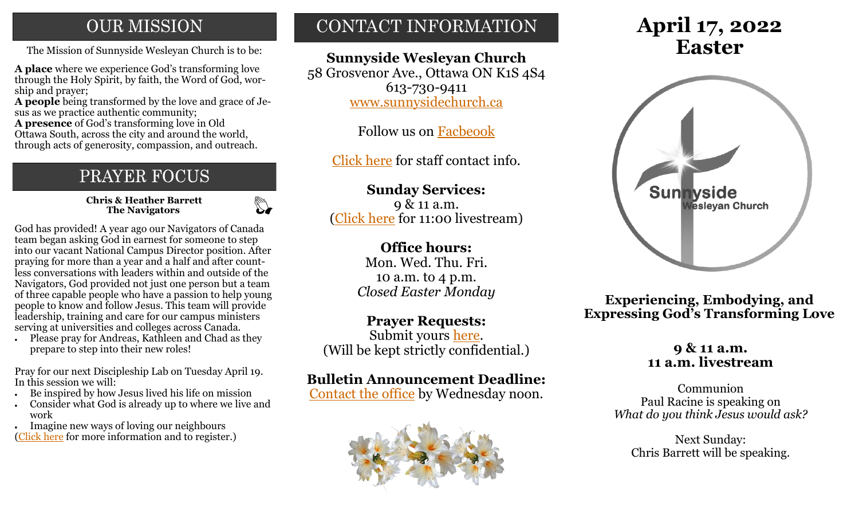# **OUR MISSION**

The Mission of Sunnyside Wesleyan Church is to be: **Easter** 

**A place** where we experience God's transforming love through the Holy Spirit, by faith, the Word of God, worship and prayer;

**A people** being transformed by the love and grace of Jesus as we practice authentic community;

**A presence** of God's transforming love in Old Ottawa South, across the city and around the world, through acts of generosity, compassion, and outreach.

# PRAYER FOCUS

 **Chris & Heather Barrett The Navigators**

 $\mathbb{Z}$ 

God has provided! A year ago our Navigators of Canada team began asking God in earnest for someone to step into our vacant National Campus Director position. After praying for more than a year and a half and after countless conversations with leaders within and outside of the Navigators, God provided not just one person but a team of three capable people who have a passion to help young people to know and follow Jesus. This team will provide leadership, training and care for our campus ministers serving at universities and colleges across Canada.

• Please pray for Andreas, Kathleen and Chad as they prepare to step into their new roles!

Pray for our next Discipleship Lab on Tuesday April 19. In this session we will:

- Be inspired by how Jesus lived his life on mission
- Consider what God is already up to where we live and work
- Imagine new ways of loving our neighbours ([Click here](https://navigators.ca/events/#D-Lab) for more information and to register.)

# CONTACT INFORMATION

## **Sunnyside Wesleyan Church**

58 Grosvenor Ave., Ottawa ON K1S 4S4 613-730-9411 [www.sunnysidechurch.ca](http://www.sunnysidechurch.ca)

Follow us on [Facbeook](http://www.facebook.com/sunnysidewesleyanchurch)

[Click here](http://www.sunnysidechurch.ca/about-sunnyside/staff/) for staff contact info.

**Sunday Services:** 9 & 11 a.m. [\(Click here](https://youtube.com/channel/UCYfl9Qy37Az7fqqFQpDEwjg) for 11:00 livestream)

### **Office hours:**

Mon. Wed. Thu. Fri. 10 a.m. to 4 p.m. *Closed Easter Monday*

**Prayer Requests:**

Submit yours [here.](mailto:prayer@sunnysidechurch.ca) (Will be kept strictly confidential.)

# **Bulletin Announcement Deadline:**

[Contact the office](mailto:office@sunnysidechurch.ca) by Wednesday noon.



# **April 17, 2022**



**Experiencing, Embodying, and Expressing God's Transforming Love**

### **9 & 11 a.m. 11 a.m. livestream**

Communion Paul Racine is speaking on *What do you think Jesus would ask?* 

Next Sunday: Chris Barrett will be speaking.